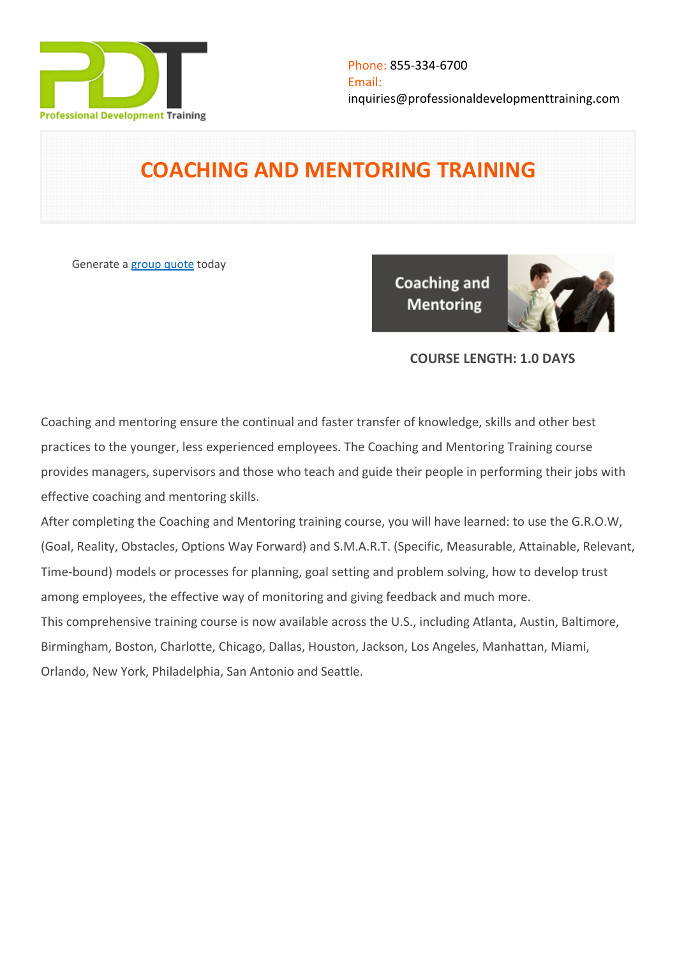

# **COACHING AND MENTORING TRAINING**

Generate a [group quote](https://professionaldevelopmenttraining.com/inhouse-training-quote?cse=PDT0007) today

**Coaching and Mentoring** 



# **COURSE LENGTH: 1.0 DAYS**

Coaching and mentoring ensure the continual and faster transfer of knowledge, skills and other best practices to the younger, less experienced employees. The Coaching and Mentoring Training course provides managers, supervisors and those who teach and guide their people in performing their jobs with effective coaching and mentoring skills.

After completing the Coaching and Mentoring training course, you will have learned: to use the G.R.O.W, (Goal, Reality, Obstacles, Options Way Forward) and S.M.A.R.T. (Specific, Measurable, Attainable, Relevant, Time-bound) models or processes for planning, goal setting and problem solving, how to develop trust among employees, the effective way of monitoring and giving feedback and much more. This comprehensive training course is now available across the U.S., including Atlanta, Austin, Baltimore, Birmingham, Boston, Charlotte, Chicago, Dallas, Houston, Jackson, Los Angeles, Manhattan, Miami, Orlando, New York, Philadelphia, San Antonio and Seattle.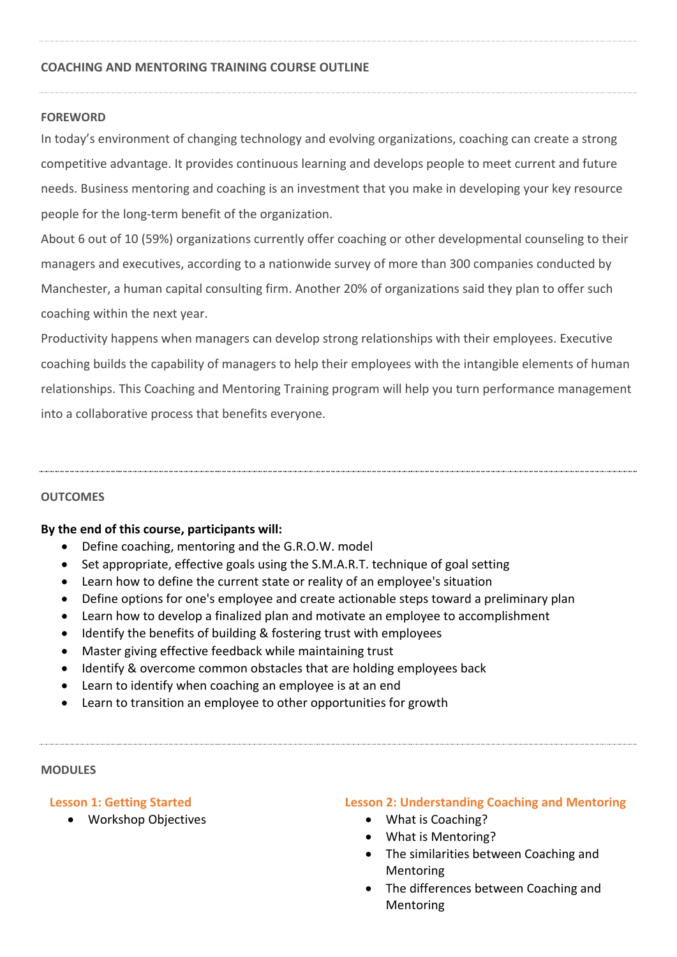#### **COACHING AND MENTORING TRAINING COURSE OUTLINE**

#### **FOREWORD**

In today's environment of changing technology and evolving organizations, coaching can create a strong competitive advantage. It provides continuous learning and develops people to meet current and future needs. Business mentoring and coaching is an investment that you make in developing your key resource people for the long-term benefit of the organization.

About 6 out of 10 (59%) organizations currently offer coaching or other developmental counseling to their managers and executives, according to a nationwide survey of more than 300 companies conducted by Manchester, a human capital consulting firm. Another 20% of organizations said they plan to offer such coaching within the next year.

Productivity happens when managers can develop strong relationships with their employees. Executive coaching builds the capability of managers to help their employees with the intangible elements of human relationships. This Coaching and Mentoring Training program will help you turn performance management into a collaborative process that benefits everyone.

#### **OUTCOMES**

#### **By the end of this course, participants will:**

- Define coaching, mentoring and the G.R.O.W. model
- Set appropriate, effective goals using the S.M.A.R.T. technique of goal setting
- Learn how to define the current state or reality of an employee's situation
- Define options for one's employee and create actionable steps toward a preliminary plan
- Learn how to develop a finalized plan and motivate an employee to accomplishment
- Identify the benefits of building & fostering trust with employees
- Master giving effective feedback while maintaining trust
- Identify & overcome common obstacles that are holding employees back
- Learn to identify when coaching an employee is at an end
- Learn to transition an employee to other opportunities for growth

#### **MODULES**

### **Lesson 1: Getting Started**

Workshop Objectives

### **Lesson 2: Understanding Coaching and Mentoring**

- What is Coaching?
- What is Mentoring?
- The similarities between Coaching and Mentoring
- The differences between Coaching and Mentoring